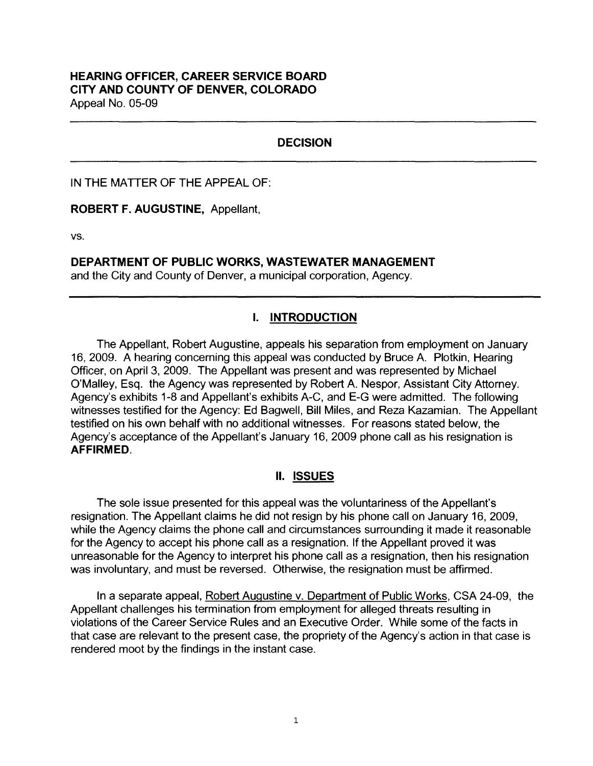## **DECISION**

IN THE MATTER OF THE APPEAL OF:

**ROBERT F. AUGUSTINE,** Appellant,

**vs.** 

**DEPARTMENT OF PUBLIC WORKS, WASTEWATER MANAGEMENT** 

and the City and County of Denver, a municipal corporation, Agency.

# I. **INTRODUCTION**

The Appellant, Robert Augustine, appeals his separation from employment on January 16, 2009. A hearing concerning this appeal was conducted by Bruce A. Plotkin, Hearing Officer, on April 3, 2009. The Appellant was present and was represented by Michael O'Malley, Esq. the Agency was represented by Robert A. Nespor, Assistant City Attorney. Agency's exhibits 1-8 and Appellant's exhibits A-C, and E-G were admitted. The following witnesses testified for the Agency: Ed Bagwell, Bill Miles, and Reza Kazamian. The Appellant testified on his own behalf with no additional witnesses. For reasons stated below, the Agency's acceptance of the Appellant's January 16, 2009 phone call as his resignation is **AFFIRMED.** 

### II. **ISSUES**

The sole issue presented for this appeal was the voluntariness of the Appellant's resignation. The Appellant claims he did not resign by his phone call on January 16, 2009, while the Agency claims the phone call and circumstances surrounding it made it reasonable for the Agency to accept his phone call as a resignation. If the Appellant proved it was unreasonable for the Agency to interpret his phone call as a resignation, then his resignation was involuntary, and must be reversed. Otherwise, the resignation must be affirmed.

In a separate appeal, Robert Augustine v. Department of Public Works, CSA 24-09, the Appellant challenges his termination from employment for alleged threats resulting in violations of the Career Service Rules and an Executive Order. While some of the facts in that case are relevant to the present case, the propriety of the Agency's action in that case is rendered moot by the findings in the instant case.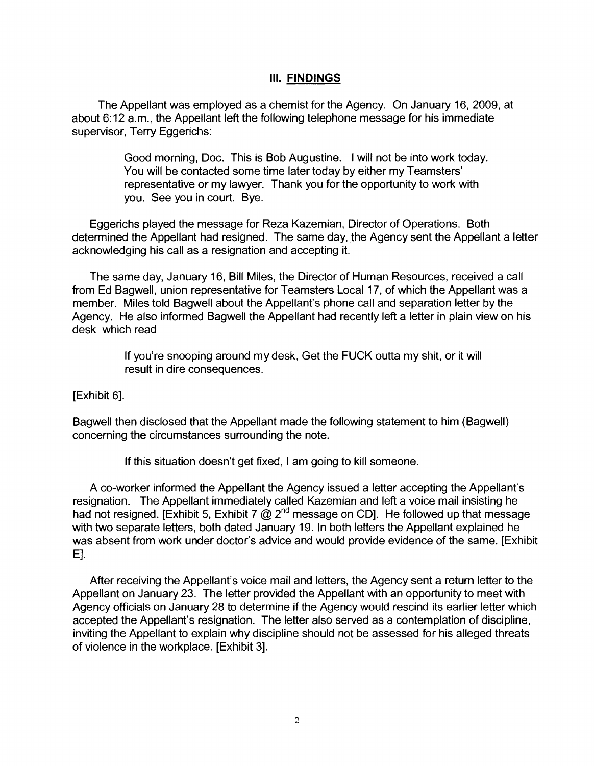### Ill. **FINDINGS**

The Appellant was employed as a chemist for the Agency. On January 16, 2009, at about 6:12 a.m., the Appellant left the following telephone message for his immediate supervisor, Terry Eggerichs:

> Good morning, Doc. This is Bob Augustine. I will not be into work today. You will be contacted some time later today by either my Teamsters' representative or my lawyer. Thank you for the opportunity to work with you. See you in court. Bye.

Eggerichs played the message for Reza Kazemian, Director of Operations. Both determined the Appellant had resigned. The same day, the Agency sent the Appellant a letter acknowledging his call as a resignation and accepting it.

The same day, January 16, Bill Miles, the Director of Human Resources, received a call from Ed Bagwell, union representative for Teamsters Local 17, of which the Appellant was a member. Miles told Bagwell about the Appellant's phone call and separation letter by the Agency. He also informed Bagwell the Appellant had recently left a letter in plain view on his desk which read

> If you're snooping around my desk, Get the FUCK outta my shit, or it will result in dire consequences.

[Exhibit 6].

Bagwell then disclosed that the Appellant made the following statement to him (Bagwell) concerning the circumstances surrounding the note.

If this situation doesn't get fixed, I am going to kill someone.

A co-worker informed the Appellant the Agency issued a letter accepting the Appellant's resignation. The Appellant immediately called Kazemian and left a voice mail insisting he had not resigned. [Exhibit 5, Exhibit 7  $\omega$  2<sup>nd</sup> message on CD]. He followed up that message with two separate letters, both dated January 19. In both letters the Appellant explained he was absent from work under doctor's advice and would provide evidence of the same. [Exhibit E].

After receiving the Appellant's voice mail and letters, the Agency sent a return letter to the Appellant on January 23. The letter provided the Appellant with an opportunity to meet with Agency officials on January 28 to determine if the Agency would rescind its earlier letter which accepted the Appellant's resignation. The letter also served as a contemplation of discipline, inviting the Appellant to explain why discipline should not be assessed for his alleged threats of violence in the workplace. [Exhibit 3].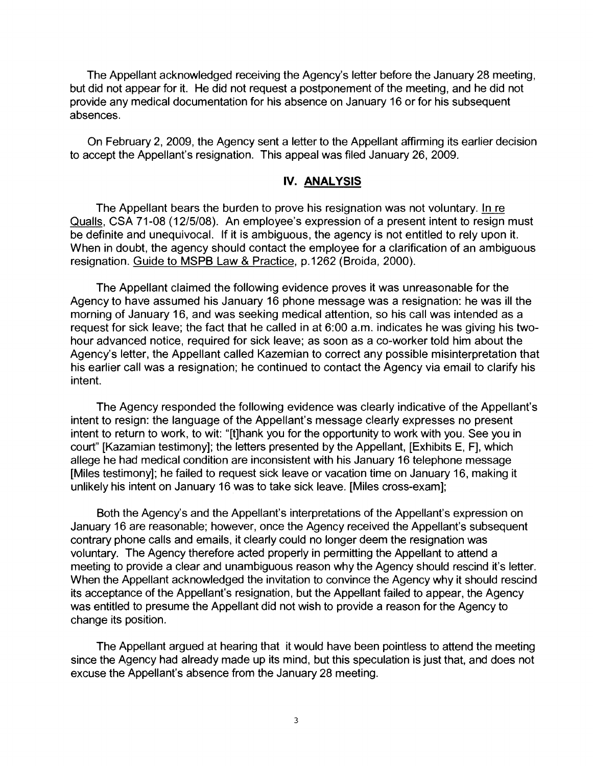The Appellant acknowledged receiving the Agency's letter before the January 28 meeting, but did not appear for it. He did not request a postponement of the meeting, and he did not provide any medical documentation for his absence on January 16 or for his subsequent absences.

On February 2, 2009, the Agency sent a letter to the Appellant affirming its earlier decision to accept the Appellant's resignation. This appeal was filed January 26, 2009.

#### **IV. ANALYSIS**

The Appellant bears the burden to prove his resignation was not voluntary. In re Qualls, CSA 71-08 (12/5/08). An employee's expression of a present intent to resign must be definite and unequivocal. If it is ambiguous, the agency is not entitled to rely upon it. When in doubt, the agency should contact the employee for a clarification of an ambiguous resignation. Guide to MSPB Law & Practice, p.1262 (Broida, 2000).

The Appellant claimed the following evidence proves it was unreasonable for the Agency to have assumed his January 16 phone message was a resignation: he was ill the morning of January 16, and was seeking medical attention, so his call was intended as a request for sick leave; the fact that he called in at 6:00 a.m. indicates he was giving his twohour advanced notice, required for sick leave; as soon as a co-worker told him about the Agency's letter, the Appellant called Kazemian to correct any possible misinterpretation that his earlier call was a resignation; he continued to contact the Agency via email to clarify his intent.

The Agency responded the following evidence was clearly indicative of the Appellant's intent to resign: the language of the Appellant's message clearly expresses no present intent to return to work, to wit: "[t]hank you for the opportunity to work with you. See you in court" [Kazamian testimony]; the letters presented by the Appellant, [Exhibits E, F], which allege he had medical condition are inconsistent with his January 16 telephone message [Miles testimony]; he failed to request sick leave or vacation time on January 16, making it unlikely his intent on January 16 was to take sick leave. [Miles cross-exam];

Both the Agency's and the Appellant's interpretations of the Appellant's expression on January 16 are reasonable; however, once the Agency received the Appellant's subsequent contrary phone calls and emails, it clearly could no longer deem the resignation was voluntary. The Agency therefore acted properly in permitting the Appellant to attend a meeting to provide a clear and unambiguous reason why the Agency should rescind it's letter. When the Appellant acknowledged the invitation to convince the Agency why it should rescind its acceptance of the Appellant's resignation, but the Appellant failed to appear, the Agency was entitled to presume the Appellant did not wish to provide a reason for the Agency to change its position.

The Appellant argued at hearing that it would have been pointless to attend the meeting since the Agency had already made up its mind, but this speculation is just that, and does not excuse the Appellant's absence from the January 28 meeting.